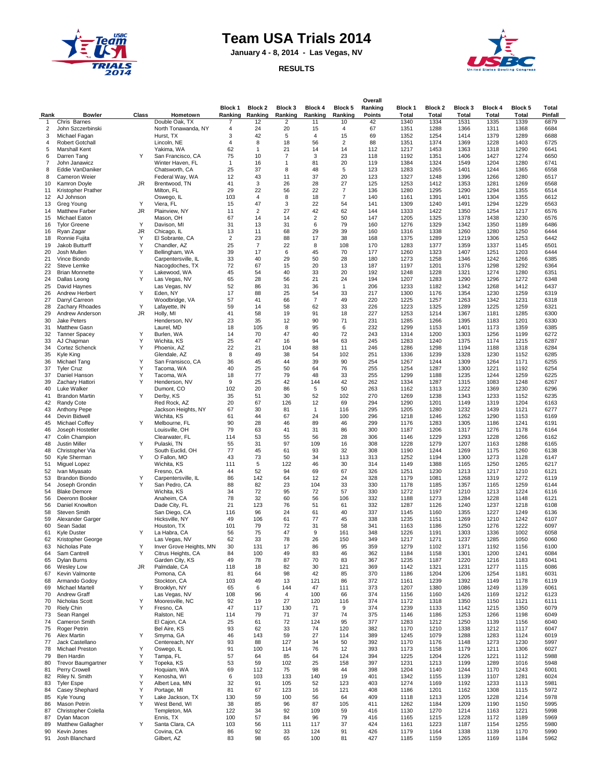

## **Team USA Trials 2014**

**January 4 - 8, 2014 - Las Vegas, NV**



## **RESULTS**

| Rank           | <b>Bowler</b>                           | Class     | Hometown                                 | Block 1<br>Ranking | Block 2<br>Ranking            | Block 3<br>Ranking | Block 4<br>Ranking   | Block 5<br>Ranking   | Overall<br>Ranking<br><b>Points</b> | <b>Block 1</b><br><b>Total</b> | <b>Block 2</b><br><b>Total</b> | <b>Block 3</b><br>Total | <b>Block 4</b><br>Total | Block 5<br>Total | Total<br>Pinfall |
|----------------|-----------------------------------------|-----------|------------------------------------------|--------------------|-------------------------------|--------------------|----------------------|----------------------|-------------------------------------|--------------------------------|--------------------------------|-------------------------|-------------------------|------------------|------------------|
| $\mathbf{1}$   | Chris Barnes                            |           | Double Oak. TX                           | 7                  | 12                            | $\overline{2}$     | 11                   | 10                   | 42                                  | 1340                           | 1334                           | 1531                    | 1335                    | 1339             | 6879             |
| $\overline{2}$ | John Szczerbinski                       |           | North Tonawanda, NY                      | 4                  | 24                            | 20                 | 15                   | 4                    | 67                                  | 1351                           | 1288                           | 1366                    | 1311                    | 1368             | 6684             |
| 3<br>4         | Michael Fagan<br>Robert Gotchall        |           | Hurst, TX<br>Lincoln, NE                 | 3<br>4             | 42<br>8                       | 5<br>18            | $\overline{4}$<br>56 | 15<br>$\overline{c}$ | 69<br>88                            | 1352<br>1351                   | 1254<br>1374                   | 1414<br>1369            | 1379<br>1228            | 1289<br>1403     | 6688<br>6725     |
| 5              | <b>Marshall Kent</b>                    |           | Yakima, WA                               | 62                 | $\mathbf{1}$                  | 21                 | 14                   | 14                   | 112                                 | 1217                           | 1453                           | 1363                    | 1318                    | 1290             | 6641             |
| 6              | Darren Tang                             | Y         | San Francisco, CA                        | 75                 | 10                            | $\overline{7}$     | 3                    | 23                   | 118                                 | 1192                           | 1351                           | 1406                    | 1427                    | 1274             | 6650             |
| $\overline{7}$ | John Janawicz                           |           | Winter Haven, FL                         | $\mathbf{1}$       | 16                            | $\mathbf{1}$       | 81                   | 20                   | 119                                 | 1384                           | 1324                           | 1549                    | 1204                    | 1280             | 6741             |
| 8<br>8         | Eddie VanDaniker<br>Cameron Weier       |           | Chatsworth, CA<br>Federal Way, WA        | 25<br>12           | 37<br>43                      | 8<br>11            | 48<br>37             | 5<br>20              | 123<br>123                          | 1283<br>1327                   | 1265<br>1248                   | 1401<br>1396            | 1244<br>1266            | 1365<br>1280     | 6558<br>6517     |
| 10             | Kamron Doyle                            | JR.       | Brentwood, TN                            | 41                 | 3                             | 26                 | 28                   | 27                   | 125                                 | 1253                           | 1412                           | 1353                    | 1281                    | 1269             | 6568             |
| 11             | Kristopher Prather                      |           | Milton, FL                               | 29                 | 22                            | 56                 | 22                   | $\overline{7}$       | 136                                 | 1280                           | 1295                           | 1290                    | 1294                    | 1355             | 6514             |
| 12             | AJ Johnson                              |           | Oswego, IL                               | 103                | $\overline{4}$                | 8                  | 18                   | $\overline{7}$       | 140                                 | 1161                           | 1391                           | 1401                    | 1304                    | 1355             | 6612             |
| 13<br>14       | Greg Young<br><b>Matthew Farber</b>     | Y<br>JR   | Viera, FL<br>Plainview, NY               | 15<br>11           | 47<br>$\overline{\mathbf{c}}$ | 3<br>27            | 22<br>42             | 54<br>62             | 141<br>144                          | 1309<br>1333                   | 1240<br>1422                   | 1491<br>1350            | 1294<br>1254            | 1229<br>1217     | 6563<br>6576     |
| 15             | Michael Eaton                           |           | Mason, OH                                | 67                 | 14                            | 14                 | $\overline{2}$       | 50                   | 147                                 | 1205                           | 1325                           | 1378                    | 1438                    | 1230             | 6576             |
| 16             | <b>Tylor Greene</b>                     | Υ         | Davison, MI                              | 31                 | 13                            | 31                 | 6                    | 79                   | 160                                 | 1276                           | 1329                           | 1342                    | 1350                    | 1189             | 6486             |
| 16             | Ryan Zagar                              | <b>JR</b> | Chicago, IL                              | 13                 | 11                            | 68                 | 29                   | 39                   | 160                                 | 1316                           | 1338                           | 1260                    | 1280                    | 1250             | 6444             |
| 18             | Ronnie Fujita                           | Y<br>Υ    | El Sobrante, CA                          | $\overline{2}$     | 23                            | 88                 | 17                   | 38<br>108            | 168                                 | 1375                           | 1289                           | 1219                    | 1306                    | 1253             | 6442             |
| 19<br>20       | Jakob Butturff<br>Josh Mullen           | Y         | Chandler, AZ<br>Bellingham, WA           | 25<br>39           | $\overline{7}$<br>17          | 22<br>6            | 8<br>45              | 70                   | 170<br>177                          | 1283<br>1260                   | 1377<br>1323                   | 1359<br>1407            | 1337<br>1251            | 1145<br>1203     | 6501<br>6444     |
| 21             | Vince Biondo                            |           | Carpentersville, IL                      | 33                 | 40                            | 29                 | 50                   | 28                   | 180                                 | 1273                           | 1258                           | 1346                    | 1242                    | 1266             | 6385             |
| 22             | Steve Lemke                             |           | Nacogdoches, TX                          | 72                 | 67                            | 15                 | 20                   | 13                   | 187                                 | 1197                           | 1201                           | 1376                    | 1298                    | 1292             | 6364             |
| 23             | <b>Brian Monnette</b>                   | Y         | Lakewood, WA                             | 45                 | 54                            | 40                 | 33                   | 20                   | 192                                 | 1248                           | 1228                           | 1321                    | 1274                    | 1280             | 6351             |
| 24<br>25       | Dallas Leong<br>David Haynes            | Y         | Las Vegas, NV<br>Las Vegas, NV           | 65<br>52           | 28<br>86                      | 56<br>31           | 21<br>36             | 24<br>$\mathbf{1}$   | 194<br>206                          | 1207<br>1233                   | 1283<br>1182                   | 1290<br>1342            | 1296<br>1268            | 1272<br>1412     | 6348<br>6437     |
| 26             | Andrew Herbert                          | Y         | Eden, NY                                 | 17                 | 88                            | 25                 | 54                   | 33                   | 217                                 | 1300                           | 1176                           | 1354                    | 1230                    | 1259             | 6319             |
| 27             | Darryl Carreon                          |           | Woodbridge, VA                           | 57                 | 41                            | 66                 | $\overline{7}$       | 49                   | 220                                 | 1225                           | 1257                           | 1263                    | 1342                    | 1231             | 6318             |
| 28             | Zachary Rhoades                         | Y         | Lafayette, IN                            | 59                 | 14                            | 58                 | 62                   | 33                   | 226                                 | 1223                           | 1325                           | 1289                    | 1225                    | 1259             | 6321             |
| 29             | Andrew Anderson                         | <b>JR</b> | Holly, MI                                | 41                 | 58                            | 19                 | 91                   | 18                   | 227                                 | 1253                           | 1214                           | 1367                    | 1181                    | 1285             | 6300             |
| 30<br>31       | <b>Jake Peters</b><br>Matthew Gasn      |           | Henderson, NV<br>Laurel, MD              | 23<br>18           | 35<br>105                     | 12<br>8            | 90<br>95             | 71<br>6              | 231<br>232                          | 1285<br>1299                   | 1266<br>1153                   | 1395<br>1401            | 1183<br>1173            | 1201<br>1359     | 6330<br>6385     |
| 32             | <b>Tanner Spacey</b>                    | Y         | Burlen, WA                               | 14                 | 70                            | 47                 | 40                   | 72                   | 243                                 | 1314                           | 1200                           | 1303                    | 1256                    | 1199             | 6272             |
| 33             | AJ Chapman                              | Υ         | Wichita, KS                              | 25                 | 47                            | 16                 | 94                   | 63                   | 245                                 | 1283                           | 1240                           | 1375                    | 1174                    | 1215             | 6287             |
| 34             | Cortez Schenck                          | Y         | Phoenix, AZ                              | 22                 | 21                            | 104                | 88                   | 11                   | 246                                 | 1286                           | 1298                           | 1194                    | 1188                    | 1318             | 6284             |
| 35             | Kyle King                               | Υ         | Glendale, AZ<br>San Fransisco, CA        | 8<br>36            | 49<br>45                      | 38<br>44           | 54<br>39             | 102<br>90            | 251<br>254                          | 1336<br>1267                   | 1239<br>1244                   | 1328<br>1309            | 1230<br>1264            | 1152<br>1171     | 6285<br>6255     |
| 36<br>37       | Michael Tang<br><b>Tyler Cruz</b>       | Y         | Tacoma, WA                               | 40                 | 25                            | 50                 | 64                   | 76                   | 255                                 | 1254                           | 1287                           | 1300                    | 1221                    | 1192             | 6254             |
| 37             | Daniel Hanson                           | Y         | Tacoma, WA                               | 18                 | 77                            | 79                 | 48                   | 33                   | 255                                 | 1299                           | 1188                           | 1235                    | 1244                    | 1259             | 6225             |
| 39             | Zachary Hattori                         | Y         | Henderson, NV                            | 9                  | 25                            | 42                 | 144                  | 42                   | 262                                 | 1334                           | 1287                           | 1315                    | 1083                    | 1248             | 6267             |
| 40             | Luke Walker                             |           | Dumont, CO                               | 102                | 20                            | 86                 | 5                    | 50                   | 263                                 | 1162                           | 1313                           | 1222                    | 1369                    | 1230             | 6296             |
| 41<br>42       | <b>Brandon Martin</b><br>Randy Cote     | Y         | Derby, KS<br>Red Rock, AZ                | 35<br>20           | 51<br>67                      | 30<br>126          | 52<br>12             | 102<br>69            | 270<br>294                          | 1269<br>1290                   | 1238<br>1201                   | 1343<br>1149            | 1233<br>1319            | 1152<br>1204     | 6235<br>6163     |
| 43             | Anthony Pepe                            |           | Jackson Heights, NY                      | 67                 | 30                            | 81                 | $\mathbf{1}$         | 116                  | 295                                 | 1205                           | 1280                           | 1232                    | 1439                    | 1121             | 6277             |
| 44             | Devin Bidwell                           |           | Wichita, KS                              | 61                 | 44                            | 67                 | 24                   | 100                  | 296                                 | 1218                           | 1246                           | 1262                    | 1290                    | 1153             | 6169             |
| 45             | Michael Coffey                          | Y         | Melbourne, FL                            | 90                 | 28                            | 46                 | 89                   | 46                   | 299                                 | 1176                           | 1283                           | 1305                    | 1186                    | 1241             | 6191             |
| 46<br>47       | Joseph Hostetler                        |           | Louisville, OH                           | 79<br>114          | 63<br>53                      | 41<br>55           | 31<br>56             | 86<br>28             | 300<br>306                          | 1187<br>1146                   | 1206<br>1229                   | 1317<br>1293            | 1276<br>1228            | 1178<br>1266     | 6164<br>6162     |
| 48             | Colin Champion<br>Justin Miller         | Y         | Clearwater, FL<br>Pulaski, TN            | 55                 | 31                            | 97                 | 109                  | 16                   | 308                                 | 1228                           | 1279                           | 1207                    | 1163                    | 1288             | 6165             |
| 48             | Christopher Via                         |           | South Euclid, OH                         | 77                 | 45                            | 61                 | 93                   | 32                   | 308                                 | 1190                           | 1244                           | 1269                    | 1175                    | 1260             | 6138             |
| 50             | Kyle Sherman                            | Y         | O Fallon, MO                             | 43                 | 73                            | 50                 | 34                   | 113                  | 313                                 | 1252                           | 1194                           | 1300                    | 1273                    | 1128             | 6147             |
| 51             | Miguel Lopez                            |           | Wichita, KS                              | 111                | 5                             | 122                | 46                   | 30                   | 314                                 | 1149                           | 1388                           | 1165                    | 1250                    | 1265             | 6217             |
| 52<br>53       | Ivan Miyasato<br><b>Brandon Biondo</b>  | Y         | Fresno, CA<br>Carpentersville, IL        | 44<br>86           | 52<br>142                     | 94<br>64           | 69<br>12             | 67<br>24             | 326<br>328                          | 1251<br>1179                   | 1230<br>1081                   | 1213<br>1268            | 1217<br>1319            | 1210<br>1272     | 6121<br>6119     |
| 54             | Joseph Grondin                          | Y         | San Pedro, CA                            | 88                 | 82                            | 23                 | 104                  | 33                   | 330                                 | 1178                           | 1185                           | 1357                    | 1165                    | 1259             | 6144             |
| 54             | <b>Blake Demore</b>                     |           | Wichita, KS                              | 34                 | 72                            | 95                 | 72                   | 57                   | 330                                 | 1272                           | 1197                           | 1210                    | 1213                    | 1224             | 6116             |
| 56             | Deeronn Booker                          |           | Anaheim, CA                              | 78                 | 32                            | 60                 | 56                   | 106                  | 332                                 | 1188                           | 1273                           | 1284                    | 1228                    | 1148             | 6121             |
| 56<br>58       | Daniel Knowlton<br>Steven Smith         |           | Dade City, FL<br>San Diego, CA           | 21<br>116          | 123<br>96                     | 76<br>24           | 51<br>61             | 61<br>40             | 332<br>337                          | 1287<br>1145                   | 1126<br>1160                   | 1240<br>1355            | 1237<br>1227            | 1218<br>1249     | 6108<br>6136     |
| 59             | Alexander Garger                        |           | Hicksville, NY                           | 49                 | 106                           | 61                 | 77                   | 45                   | 338                                 | 1235                           | 1151                           | 1269                    | 1210                    | 1242             | 6107             |
| 60             | Sean Sadat                              |           | Houston, TX                              | 101                | 79                            | 72                 | 31                   | 58                   | 341                                 | 1163                           | 1186                           | 1250                    | 1276                    | 1222             | 6097             |
| 61             | Kyle Duster                             | Y         | La Habra, CA                             | 56                 | 75                            | 47                 | 9                    | 161                  | 348                                 | 1226                           | 1191                           | 1303                    | 1336                    | 1002             | 6058             |
| 62<br>63       | Kristopher George<br>Nicholas Pate      | Υ         | Las Vegas, NV<br>Inver Grove Heights, MN | 62<br>30           | 33<br>131                     | 78<br>17           | 26<br>86             | 150<br>95            | 349<br>359                          | 1217<br>1279                   | 1271<br>1102                   | 1237<br>1371            | 1285<br>1192            | 1050<br>1156     | 6060<br>6100     |
| 64             | Sam Cantrell                            | Y         | Citrus Heights, CA                       | 84                 | 100                           | 49                 | 83                   | 46                   | 362                                 | 1184                           | 1158                           | 1301                    | 1200                    | 1241             | 6084             |
| 65             | Dylan Burns                             |           | Garden City, KS                          | 49                 | 78                            | 87                 | 70                   | 83                   | 367                                 | 1235                           | 1187                           | 1220                    | 1216                    | 1183             | 6041             |
| 66             | Weslev Low                              | <b>JR</b> | Palmdale, CA                             | 118                | 18                            | 82                 | 30                   | 121                  | 369                                 | 1142                           | 1321                           | 1231                    | 1277                    | 1115             | 6086             |
| 67<br>68       | Kevin Valmonte<br>Armando Godoy         |           | Pomona, CA<br>Stockton, CA               | 81<br>103          | 64<br>49                      | 98<br>13           | 42<br>121            | 85<br>86             | 370<br>372                          | 1186<br>1161                   | 1204<br>1239                   | 1206<br>1392            | 1254<br>1149            | 1181<br>1178     | 6031<br>6119     |
| 69             | Michael Martell                         | Υ         | Brooklyn, NY                             | 65                 | 6                             | 144                | 47                   | 111                  | 373                                 | 1207                           | 1380                           | 1086                    | 1249                    | 1139             | 6061             |
| 70             | <b>Andrew Graff</b>                     |           | Las Vegas, NV                            | 108                | 96                            | $\overline{4}$     | 100                  | 66                   | 374                                 | 1156                           | 1160                           | 1426                    | 1169                    | 1212             | 6123             |
| 70             | Nicholas Scott                          | Y         | Mooresville, NC                          | 92                 | 19                            | 27                 | 120                  | 116                  | 374                                 | 1172                           | 1318                           | 1350                    | 1150                    | 1121             | 6111             |
| 70             | <b>Riely Chin</b>                       | Y         | Fresno, CA                               | 47                 | 117                           | 130                | 71                   | 9                    | 374                                 | 1239                           | 1133                           | 1142                    | 1215                    | 1350             | 6079             |
| 73<br>74       | Sean Rangel<br>Cameron Smith            |           | Ralston, NE<br>El Cajon, CA              | 114<br>25          | 79<br>61                      | 71<br>72           | 37<br>124            | 74<br>95             | 375<br>377                          | 1146<br>1283                   | 1186<br>1212                   | 1253<br>1250            | 1266<br>1139            | 1198<br>1156     | 6049<br>6040     |
| 75             | Roger Petrin                            |           | Bel Aire, KS                             | 93                 | 62                            | 33                 | 74                   | 120                  | 382                                 | 1170                           | 1210                           | 1338                    | 1212                    | 1117             | 6047             |
| 76             | Alex Martin                             | Y         | Smyrna, GA                               | 46                 | 143                           | 59                 | 27                   | 114                  | 389                                 | 1245                           | 1079                           | 1288                    | 1283                    | 1124             | 6019             |
| 77             | Jack Castellano                         |           | Centereach, NY                           | 93                 | 88                            | 127                | 34                   | 50                   | 392                                 | 1170                           | 1176                           | 1148                    | 1273                    | 1230             | 5997             |
| 78             | <b>Michael Preston</b>                  | Y         | Oswego, IL                               | 91                 | 100                           | 114                | 76                   | 12                   | 393                                 | 1173                           | 1158                           | 1179                    | 1211                    | 1306             | 6027             |
| 79<br>80       | Ben Hardin<br><b>Trevor Baumgartner</b> | Y<br>Y    | Tampa, FL<br>Topeka, KS                  | 57<br>53           | 64<br>59                      | 85<br>102          | 64<br>25             | 124<br>158           | 394<br>397                          | 1225<br>1231                   | 1204<br>1213                   | 1226<br>1199            | 1221<br>1289            | 1112<br>1016     | 5988<br>5948     |
| 81             | Perry Crowell                           |           | Hoquiam, WA                              | 69                 | 112                           | 75                 | 98                   | 44                   | 398                                 | 1204                           | 1140                           | 1244                    | 1170                    | 1243             | 6001             |
| 82             | Riley N. Smith                          | Y         | Kenosha, WI                              | 6                  | 103                           | 133                | 140                  | 19                   | 401                                 | 1342                           | 1155                           | 1139                    | 1107                    | 1281             | 6024             |
| 83             | <b>Tyler Espe</b>                       | Υ         | Albert Lea, MN                           | 32                 | 91                            | 105                | 52                   | 123                  | 403                                 | 1274                           | 1169                           | 1192                    | 1233                    | 1113             | 5981             |
| 84             | Casey Shephard                          | Υ<br>Υ    | Portage, MI                              | 81<br>130          | 67<br>59                      | 123<br>100         | 16<br>56             | 121                  | 408<br>409                          | 1186                           | 1201                           | 1162<br>1205            | 1308                    | 1115<br>1214     | 5972<br>5978     |
| 85<br>86       | Kyle Young<br><b>Mason Petrin</b>       | Y         | Lake Jackson, TX<br>West Bend, WI        | 38                 | 85                            | 96                 | 87                   | 64<br>105            | 411                                 | 1118<br>1262                   | 1213<br>1184                   | 1209                    | 1228<br>1190            | 1150             | 5995             |
| 87             | Christopher Colella                     |           | Templeton, MA                            | 122                | 34                            | 92                 | 109                  | 59                   | 416                                 | 1130                           | 1270                           | 1214                    | 1163                    | 1221             | 5998             |
| 87             | Dylan Macon                             |           | Ennis, TX                                | 100                | 57                            | 84                 | 96                   | 79                   | 416                                 | 1165                           | 1215                           | 1228                    | 1172                    | 1189             | 5969             |
| 89             | Matthew Gallagher                       | Y         | Santa Clara, CA                          | 103                | 56                            | 111                | 117                  | 37                   | 424                                 | 1161                           | 1223                           | 1187                    | 1154                    | 1255             | 5980             |
| 90<br>91       | Kevin Jones<br>Josh Blanchard           |           | Covina, CA<br>Gilbert, AZ                | 86<br>83           | 92<br>98                      | 33<br>65           | 124<br>100           | 91<br>81             | 426<br>427                          | 1179<br>1185                   | 1164<br>1159                   | 1338<br>1265            | 1139<br>1169            | 1170<br>1184     | 5990<br>5962     |
|                |                                         |           |                                          |                    |                               |                    |                      |                      |                                     |                                |                                |                         |                         |                  |                  |